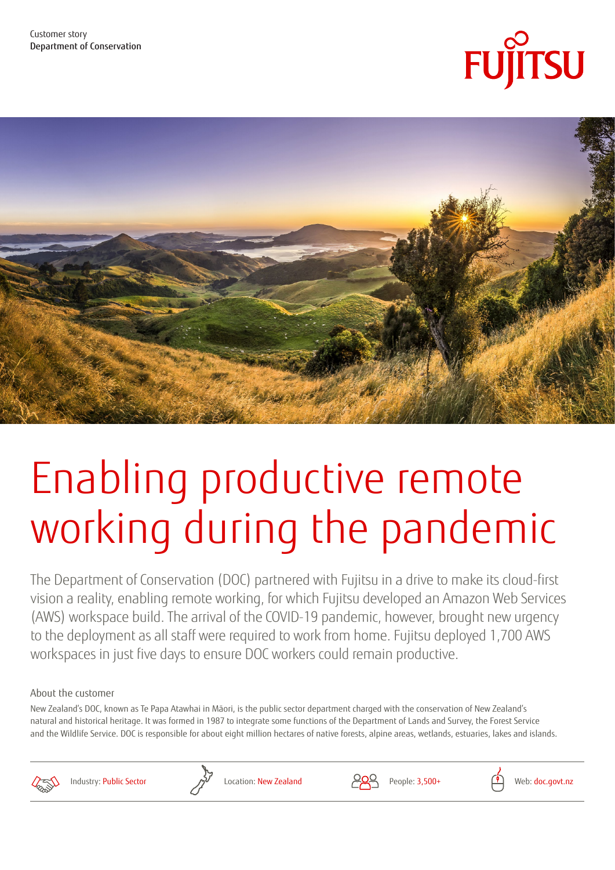



# Enabling productive remote working during the pandemic

The Department of Conservation (DOC) partnered with Fujitsu in a drive to make its cloud-first vision a reality, enabling remote working, for which Fujitsu developed an Amazon Web Services (AWS) workspace build. The arrival of the COVID-19 pandemic, however, brought new urgency to the deployment as all staff were required to work from home. Fujitsu deployed 1,700 AWS workspaces in just five days to ensure DOC workers could remain productive.

### About the customer

New Zealand's DOC, known as Te Papa Atawhai in Māori, is the public sector department charged with the conservation of New Zealand's natural and historical heritage. It was formed in 1987 to integrate some functions of the Department of Lands and Survey, the Forest Service and the Wildlife Service. DOC is responsible for about eight million hectares of native forests, alpine areas, wetlands, estuaries, lakes and islands.





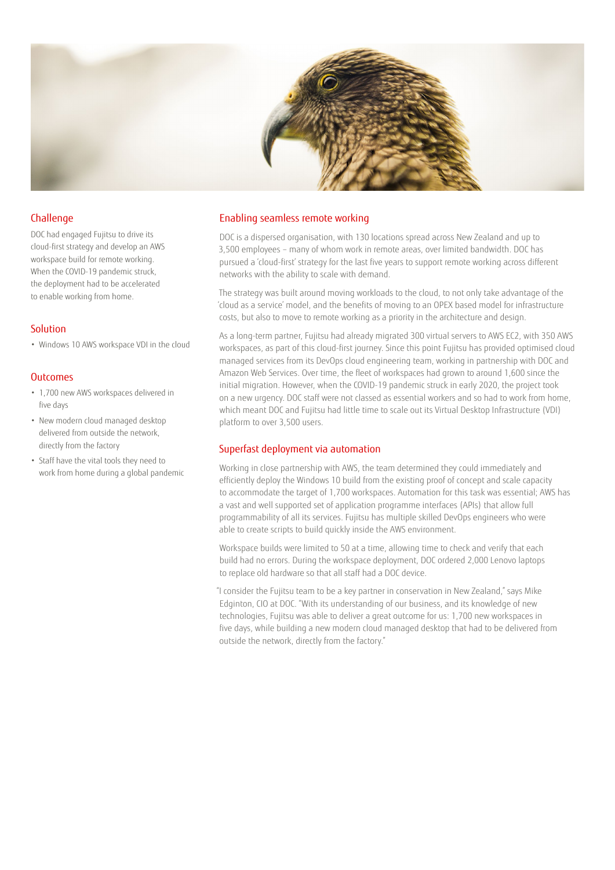

#### Challenge

DOC had engaged Fujitsu to drive its cloud-first strategy and develop an AWS workspace build for remote working. When the COVID-19 pandemic struck, the deployment had to be accelerated to enable working from home.

#### Solution

• Windows 10 AWS workspace VDI in the cloud

#### **Outcomes**

- 1,700 new AWS workspaces delivered in five days
- New modern cloud managed desktop delivered from outside the network, directly from the factory
- Staff have the vital tools they need to work from home during a global pandemic

#### Enabling seamless remote working

DOC is a dispersed organisation, with 130 locations spread across New Zealand and up to 3,500 employees – many of whom work in remote areas, over limited bandwidth. DOC has pursued a 'cloud-first' strategy for the last five years to support remote working across different networks with the ability to scale with demand.

The strategy was built around moving workloads to the cloud, to not only take advantage of the 'cloud as a service' model, and the benefits of moving to an OPEX based model for infrastructure costs, but also to move to remote working as a priority in the architecture and design.

As a long-term partner, Fujitsu had already migrated 300 virtual servers to AWS EC2, with 350 AWS workspaces, as part of this cloud-first journey. Since this point Fujitsu has provided optimised cloud managed services from its DevOps cloud engineering team, working in partnership with DOC and Amazon Web Services. Over time, the fleet of workspaces had grown to around 1,600 since the initial migration. However, when the COVID-19 pandemic struck in early 2020, the project took on a new urgency. DOC staff were not classed as essential workers and so had to work from home, which meant DOC and Fujitsu had little time to scale out its Virtual Desktop Infrastructure (VDI) platform to over 3,500 users.

#### Superfast deployment via automation

Working in close partnership with AWS, the team determined they could immediately and efficiently deploy the Windows 10 build from the existing proof of concept and scale capacity to accommodate the target of 1,700 workspaces. Automation for this task was essential; AWS has a vast and well supported set of application programme interfaces (APIs) that allow full programmability of all its services. Fujitsu has multiple skilled DevOps engineers who were able to create scripts to build quickly inside the AWS environment.

Workspace builds were limited to 50 at a time, allowing time to check and verify that each build had no errors. During the workspace deployment, DOC ordered 2,000 Lenovo laptops to replace old hardware so that all staff had a DOC device.

"I consider the Fujitsu team to be a key partner in conservation in New Zealand," says Mike Edginton, CIO at DOC. "With its understanding of our business, and its knowledge of new technologies, Fujitsu was able to deliver a great outcome for us: 1,700 new workspaces in five days, while building a new modern cloud managed desktop that had to be delivered from outside the network, directly from the factory."